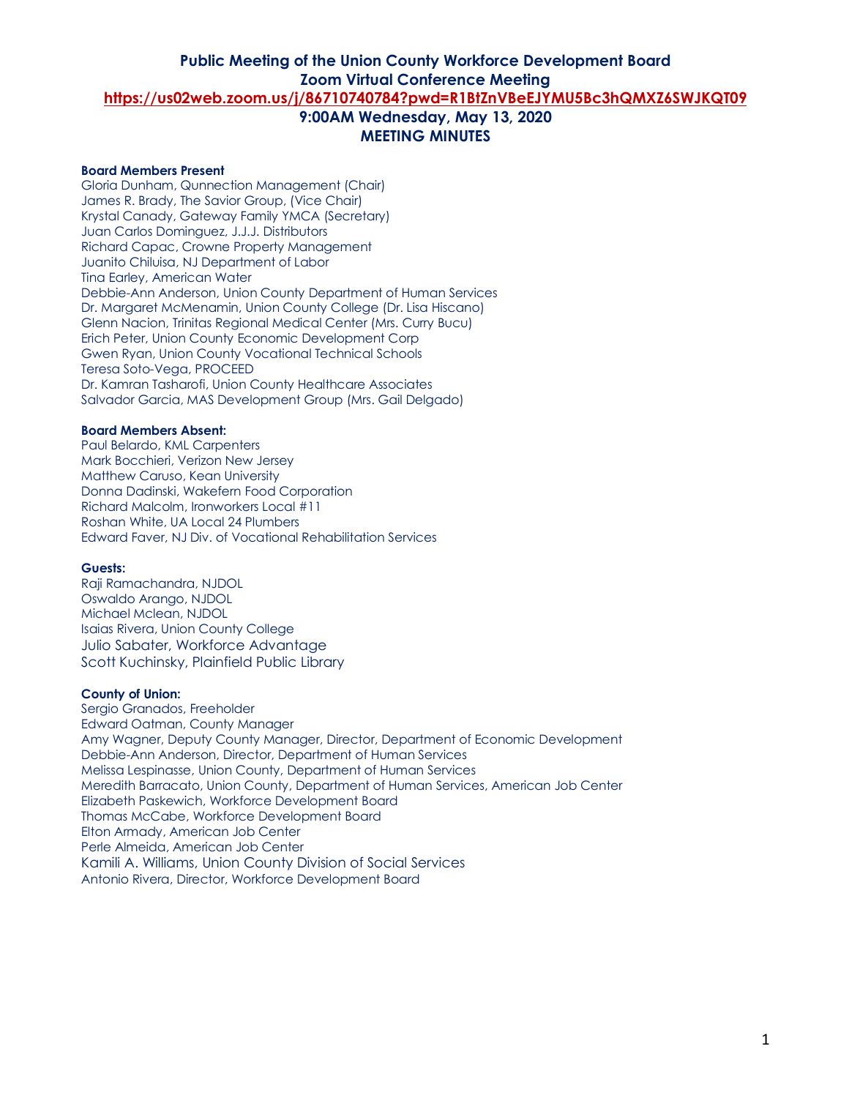#### **Board Members Present**

Gloria Dunham, Qunnection Management (Chair) James R. Brady, The Savior Group, (Vice Chair) Krystal Canady, Gateway Family YMCA (Secretary) Juan Carlos Dominguez, J.J.J. Distributors Richard Capac, Crowne Property Management Juanito Chiluisa, NJ Department of Labor Tina Earley, American Water Debbie-Ann Anderson, Union County Department of Human Services Dr. Margaret McMenamin, Union County College (Dr. Lisa Hiscano) Glenn Nacion, Trinitas Regional Medical Center (Mrs. Curry Bucu) Erich Peter, Union County Economic Development Corp Gwen Ryan, Union County Vocational Technical Schools Teresa Soto-Vega, PROCEED Dr. Kamran Tasharofi, Union County Healthcare Associates Salvador Garcia, MAS Development Group (Mrs. Gail Delgado)

#### **Board Members Absent:**

Paul Belardo, KML Carpenters Mark Bocchieri, Verizon New Jersey Matthew Caruso, Kean University Donna Dadinski, Wakefern Food Corporation Richard Malcolm, Ironworkers Local #11 Roshan White, UA Local 24 Plumbers Edward Faver, NJ Div. of Vocational Rehabilitation Services

#### **Guests:**

Raji Ramachandra, NJDOL Oswaldo Arango, NJDOL Michael Mclean, NJDOL Isaias Rivera, Union County College Julio Sabater, Workforce Advantage Scott Kuchinsky, Plainfield Public Library

#### **County of Union:**

Sergio Granados, Freeholder Edward Oatman, County Manager Amy Wagner, Deputy County Manager, Director, Department of Economic Development Debbie-Ann Anderson, Director, Department of Human Services Melissa Lespinasse, Union County, Department of Human Services Meredith Barracato, Union County, Department of Human Services, American Job Center Elizabeth Paskewich, Workforce Development Board Thomas McCabe, Workforce Development Board Elton Armady, American Job Center Perle Almeida, American Job Center Kamili A. Williams, Union County Division of Social Services Antonio Rivera, Director, Workforce Development Board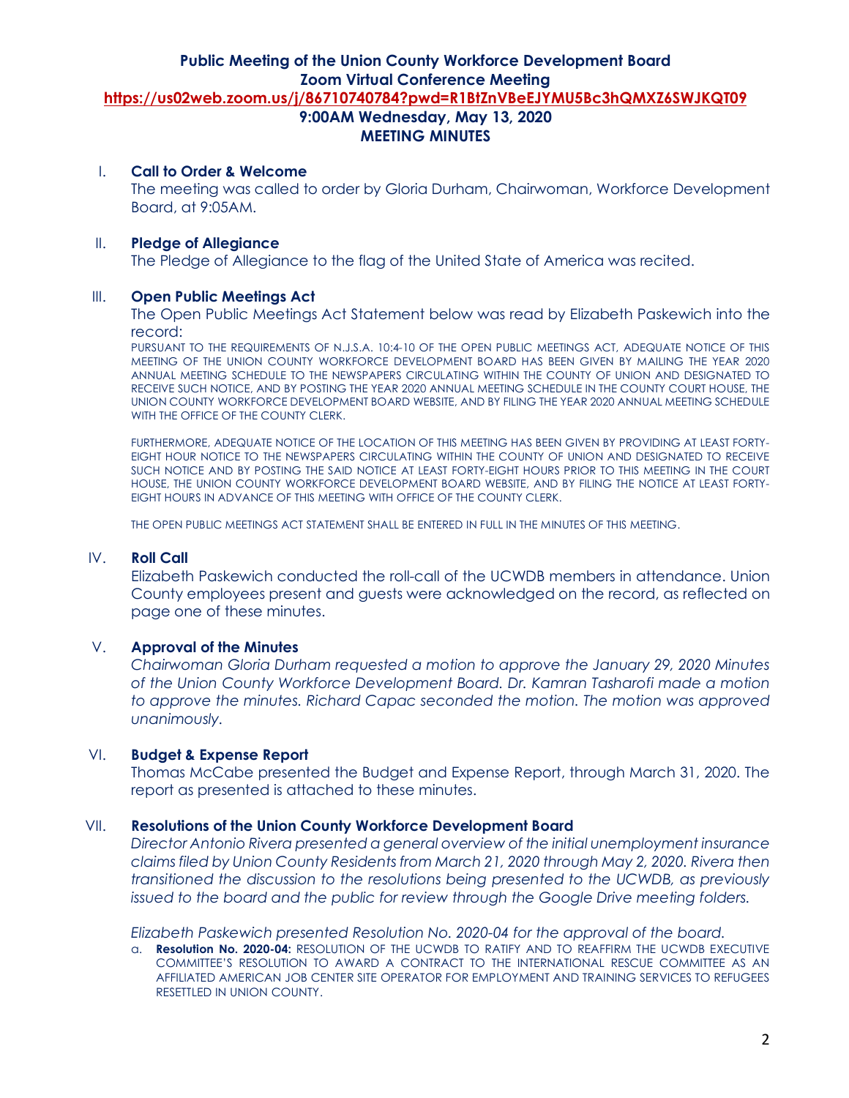## I. **Call to Order & Welcome**

The meeting was called to order by Gloria Durham, Chairwoman, Workforce Development Board, at 9:05AM.

### II. **Pledge of Allegiance**

The Pledge of Allegiance to the flag of the United State of America was recited.

### III. **Open Public Meetings Act**

The Open Public Meetings Act Statement below was read by Elizabeth Paskewich into the record:

PURSUANT TO THE REQUIREMENTS OF N.J.S.A. 10:4-10 OF THE OPEN PUBLIC MEETINGS ACT, ADEQUATE NOTICE OF THIS MEETING OF THE UNION COUNTY WORKFORCE DEVELOPMENT BOARD HAS BEEN GIVEN BY MAILING THE YEAR 2020 ANNUAL MEETING SCHEDULE TO THE NEWSPAPERS CIRCULATING WITHIN THE COUNTY OF UNION AND DESIGNATED TO RECEIVE SUCH NOTICE, AND BY POSTING THE YEAR 2020 ANNUAL MEETING SCHEDULE IN THE COUNTY COURT HOUSE, THE UNION COUNTY WORKFORCE DEVELOPMENT BOARD WEBSITE, AND BY FILING THE YEAR 2020 ANNUAL MEETING SCHEDULE WITH THE OFFICE OF THE COUNTY CLERK.

FURTHERMORE, ADEQUATE NOTICE OF THE LOCATION OF THIS MEETING HAS BEEN GIVEN BY PROVIDING AT LEAST FORTY-EIGHT HOUR NOTICE TO THE NEWSPAPERS CIRCULATING WITHIN THE COUNTY OF UNION AND DESIGNATED TO RECEIVE SUCH NOTICE AND BY POSTING THE SAID NOTICE AT LEAST FORTY-EIGHT HOURS PRIOR TO THIS MEETING IN THE COURT HOUSE, THE UNION COUNTY WORKFORCE DEVELOPMENT BOARD WEBSITE, AND BY FILING THE NOTICE AT LEAST FORTY-EIGHT HOURS IN ADVANCE OF THIS MEETING WITH OFFICE OF THE COUNTY CLERK.

THE OPEN PUBLIC MEETINGS ACT STATEMENT SHALL BE ENTERED IN FULL IN THE MINUTES OF THIS MEETING.

### IV. **Roll Call**

Elizabeth Paskewich conducted the roll-call of the UCWDB members in attendance. Union County employees present and guests were acknowledged on the record, as reflected on page one of these minutes.

# V. **Approval of the Minutes**

*Chairwoman Gloria Durham requested a motion to approve the January 29, 2020 Minutes of the Union County Workforce Development Board. Dr. Kamran Tasharofi made a motion to approve the minutes. Richard Capac seconded the motion. The motion was approved unanimously.* 

## VI. **Budget & Expense Report**

Thomas McCabe presented the Budget and Expense Report, through March 31, 2020. The report as presented is attached to these minutes.

## VII. **Resolutions of the Union County Workforce Development Board**

*Director Antonio Rivera presented a general overview of the initial unemployment insurance claims filed by Union County Residents from March 21, 2020 through May 2, 2020. Rivera then transitioned the discussion to the resolutions being presented to the UCWDB, as previously issued to the board and the public for review through the Google Drive meeting folders.*

*Elizabeth Paskewich presented Resolution No. 2020-04 for the approval of the board.* 

a. **Resolution No. 2020-04:** RESOLUTION OF THE UCWDB TO RATIFY AND TO REAFFIRM THE UCWDB EXECUTIVE COMMITTEE'S RESOLUTION TO AWARD A CONTRACT TO THE INTERNATIONAL RESCUE COMMITTEE AS AN AFFILIATED AMERICAN JOB CENTER SITE OPERATOR FOR EMPLOYMENT AND TRAINING SERVICES TO REFUGEES RESETTLED IN UNION COUNTY.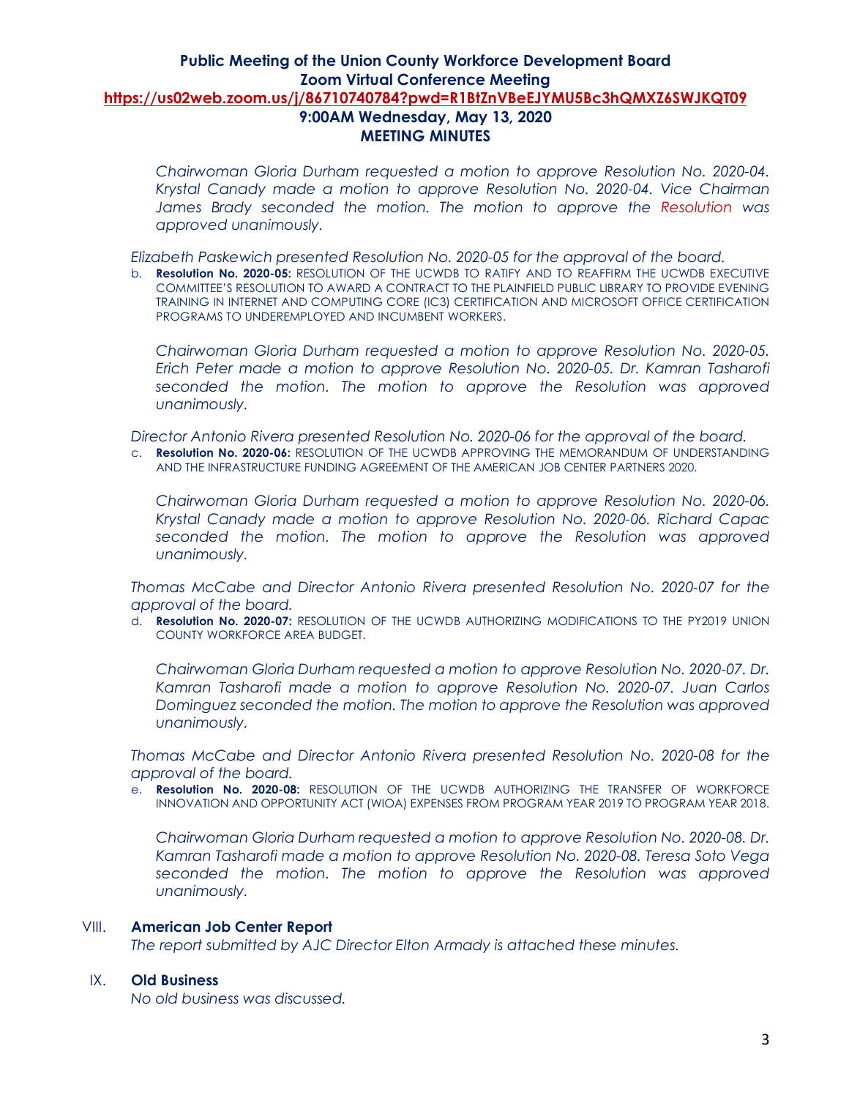*Chairwoman Gloria Durham requested a motion to approve Resolution No. 2020-04. Krystal Canady made a motion to approve Resolution No. 2020-04. Vice Chairman James Brady seconded the motion. The motion to approve the Resolution was approved unanimously.* 

*Elizabeth Paskewich presented Resolution No. 2020-05 for the approval of the board.* 

b. **Resolution No. 2020-05:** RESOLUTION OF THE UCWDB TO RATIFY AND TO REAFFIRM THE UCWDB EXECUTIVE COMMITTEE'S RESOLUTION TO AWARD A CONTRACT TO THE PLAINFIELD PUBLIC LIBRARY TO PROVIDE EVENING TRAINING IN INTERNET AND COMPUTING CORE (IC3) CERTIFICATION AND MICROSOFT OFFICE CERTIFICATION PROGRAMS TO UNDEREMPLOYED AND INCUMBENT WORKERS.

*Chairwoman Gloria Durham requested a motion to approve Resolution No. 2020-05. Erich Peter made a motion to approve Resolution No. 2020-05. Dr. Kamran Tasharofi seconded the motion. The motion to approve the Resolution was approved unanimously.* 

*Director Antonio Rivera presented Resolution No. 2020-06 for the approval of the board.* 

c. **Resolution No. 2020-06:** RESOLUTION OF THE UCWDB APPROVING THE MEMORANDUM OF UNDERSTANDING AND THE INFRASTRUCTURE FUNDING AGREEMENT OF THE AMERICAN JOB CENTER PARTNERS 2020.

*Chairwoman Gloria Durham requested a motion to approve Resolution No. 2020-06. Krystal Canady made a motion to approve Resolution No. 2020-06. Richard Capac seconded the motion. The motion to approve the Resolution was approved unanimously.* 

*Thomas McCabe and Director Antonio Rivera presented Resolution No. 2020-07 for the approval of the board.* 

d. **Resolution No. 2020-07:** RESOLUTION OF THE UCWDB AUTHORIZING MODIFICATIONS TO THE PY2019 UNION COUNTY WORKFORCE AREA BUDGET.

*Chairwoman Gloria Durham requested a motion to approve Resolution No. 2020-07. Dr. Kamran Tasharofi made a motion to approve Resolution No. 2020-07. Juan Carlos Dominguez seconded the motion. The motion to approve the Resolution was approved unanimously.* 

*Thomas McCabe and Director Antonio Rivera presented Resolution No. 2020-08 for the approval of the board.* 

e. **Resolution No. 2020-08:** RESOLUTION OF THE UCWDB AUTHORIZING THE TRANSFER OF WORKFORCE INNOVATION AND OPPORTUNITY ACT (WIOA) EXPENSES FROM PROGRAM YEAR 2019 TO PROGRAM YEAR 2018.

*Chairwoman Gloria Durham requested a motion to approve Resolution No. 2020-08. Dr. Kamran Tasharofi made a motion to approve Resolution No. 2020-08. Teresa Soto Vega seconded the motion. The motion to approve the Resolution was approved unanimously.* 

## VIII. **American Job Center Report**

*The report submitted by AJC Director Elton Armady is attached these minutes.*

### IX. **Old Business**

*No old business was discussed.*